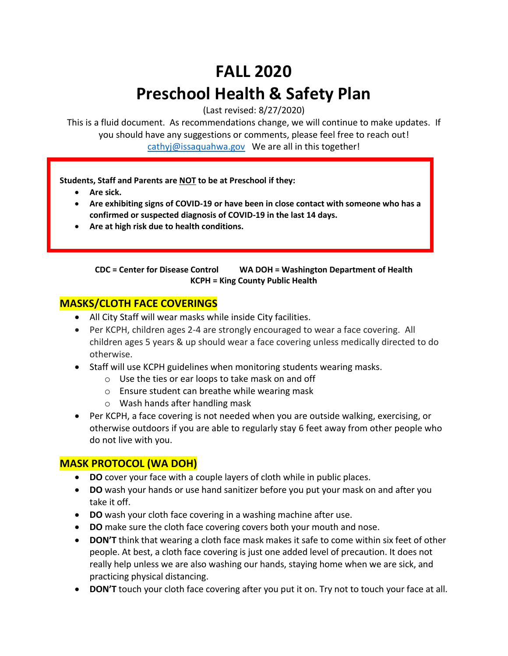# **FALL 2020 Preschool Health & Safety Plan**

(Last revised: 8/27/2020)

This is a fluid document. As recommendations change, we will continue to make updates. If you should have any suggestions or comments, please feel free to reach out! [cathyj@issaquahwa.gov](mailto:cathyj@issaquahwa.gov) We are all in this together!

**Students, Staff and Parents are NOT to be at Preschool if they:**

- **Are sick.**
- **Are exhibiting signs of COVID-19 or have been in close contact with someone who has a confirmed or suspected diagnosis of COVID-19 in the last 14 days.**
- **Are at high risk due to health conditions.**

**CDC = Center for Disease Control WA DOH = Washington Department of Health KCPH = King County Public Health**

## **MASKS/CLOTH FACE COVERINGS**

- All City Staff will wear masks while inside City facilities.
- Per KCPH, children ages 2-4 are strongly encouraged to wear a face covering. All children ages 5 years & up should wear a face covering unless medically directed to do otherwise.
- Staff will use KCPH guidelines when monitoring students wearing masks.
	- o Use the ties or ear loops to take mask on and off
	- o Ensure student can breathe while wearing mask
	- o Wash hands after handling mask
- Per KCPH, a face covering is not needed when you are outside walking, exercising, or otherwise outdoors if you are able to regularly stay 6 feet away from other people who do not live with you.

#### **MASK PROTOCOL (WA DOH)**

- **DO** cover your face with a couple layers of cloth while in public places.
- **DO** wash your hands or use hand sanitizer before you put your mask on and after you take it off.
- **DO** wash your cloth face covering in a washing machine after use.
- **DO** make sure the cloth face covering covers both your mouth and nose.
- **DON'T** think that wearing a cloth face mask makes it safe to come within six feet of other people. At best, a cloth face covering is just one added level of precaution. It does not really help unless we are also washing our hands, staying home when we are sick, and practicing physical distancing.
- **DON'T** touch your cloth face covering after you put it on. Try not to touch your face at all.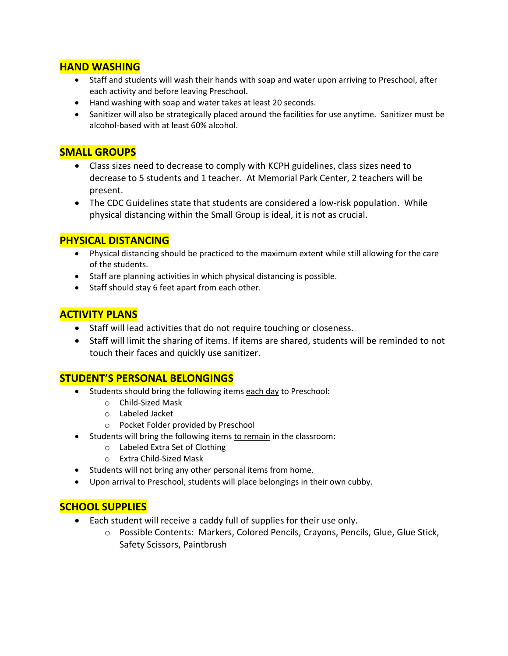#### **HAND WASHING**

- Staff and students will wash their hands with soap and water upon arriving to Preschool, after each activity and before leaving Preschool.
- Hand washing with soap and water takes at least 20 seconds.
- Sanitizer will also be strategically placed around the facilities for use anytime. Sanitizer must be alcohol-based with at least 60% alcohol.

### **SMALL GROUPS**

- Class sizes need to decrease to comply with KCPH guidelines, class sizes need to decrease to 5 students and 1 teacher. At Memorial Park Center, 2 teachers will be present.
- The CDC Guidelines state that students are considered a low-risk population. While physical distancing within the Small Group is ideal, it is not as crucial.

#### **PHYSICAL DISTANCING**

- Physical distancing should be practiced to the maximum extent while still allowing for the care of the students.
- Staff are planning activities in which physical distancing is possible.
- Staff should stay 6 feet apart from each other.

#### **ACTIVITY PLANS**

- Staff will lead activities that do not require touching or closeness.
- Staff will limit the sharing of items. If items are shared, students will be reminded to not touch their faces and quickly use sanitizer.

#### **STUDENT'S PERSONAL BELONGINGS**

- Students should bring the following items each day to Preschool:
	- o Child-Sized Mask
	- o Labeled Jacket
	- o Pocket Folder provided by Preschool
- Students will bring the following items to remain in the classroom:
	- o Labeled Extra Set of Clothing
	- o Extra Child-Sized Mask
- Students will not bring any other personal items from home.
- Upon arrival to Preschool, students will place belongings in their own cubby.

#### **SCHOOL SUPPLIES**

- Each student will receive a caddy full of supplies for their use only.
	- o Possible Contents: Markers, Colored Pencils, Crayons, Pencils, Glue, Glue Stick, Safety Scissors, Paintbrush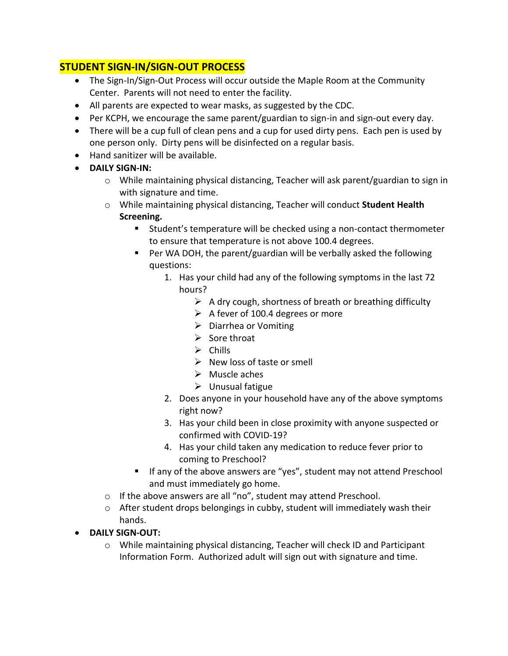## **STUDENT SIGN-IN/SIGN-OUT PROCESS**

- The Sign-In/Sign-Out Process will occur outside the Maple Room at the Community Center. Parents will not need to enter the facility.
- All parents are expected to wear masks, as suggested by the CDC.
- Per KCPH, we encourage the same parent/guardian to sign-in and sign-out every day.
- There will be a cup full of clean pens and a cup for used dirty pens. Each pen is used by one person only. Dirty pens will be disinfected on a regular basis.
- Hand sanitizer will be available.
- **DAILY SIGN-IN:**
	- $\circ$  While maintaining physical distancing, Teacher will ask parent/guardian to sign in with signature and time.
	- o While maintaining physical distancing, Teacher will conduct **Student Health Screening.**
		- Student's temperature will be checked using a non-contact thermometer to ensure that temperature is not above 100.4 degrees.
		- Per WA DOH, the parent/guardian will be verbally asked the following questions:
			- 1. Has your child had any of the following symptoms in the last 72 hours?
				- $\triangleright$  A dry cough, shortness of breath or breathing difficulty
				- $\triangleright$  A fever of 100.4 degrees or more
				- ➢ Diarrhea or Vomiting
				- ➢ Sore throat
				- $\triangleright$  Chills
				- ➢ New loss of taste or smell
				- $\triangleright$  Muscle aches
				- ➢ Unusual fatigue
			- 2. Does anyone in your household have any of the above symptoms right now?
			- 3. Has your child been in close proximity with anyone suspected or confirmed with COVID-19?
			- 4. Has your child taken any medication to reduce fever prior to coming to Preschool?
		- If any of the above answers are "yes", student may not attend Preschool and must immediately go home.
	- o If the above answers are all "no", student may attend Preschool.
	- $\circ$  After student drops belongings in cubby, student will immediately wash their hands.
- **DAILY SIGN-OUT:**
	- o While maintaining physical distancing, Teacher will check ID and Participant Information Form. Authorized adult will sign out with signature and time.